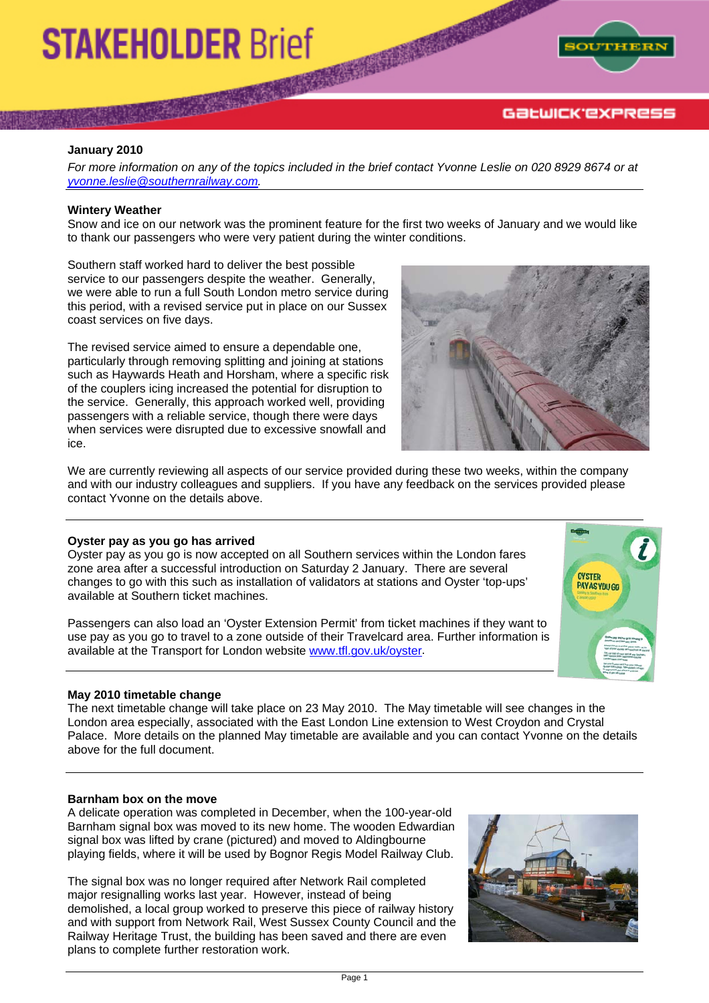# **STAKEHOLDER Brief**



#### **January 2010**

*For more information on any of the topics included in the brief contact Yvonne Leslie on 020 8929 8674 or at [yvonne.leslie@southernrailway.com](mailto:yvonne.leslie@southernrailway.com).* 

### **Wintery Weather**

Snow and ice on our network was the prominent feature for the first two weeks of January and we would like to thank our passengers who were very patient during the winter conditions.

Southern staff worked hard to deliver the best possible service to our passengers despite the weather. Generally, we were able to run a full South London metro service during this period, with a revised service put in place on our Sussex coast services on five days.

The revised service aimed to ensure a dependable one, particularly through removing splitting and joining at stations such as Haywards Heath and Horsham, where a specific risk of the couplers icing increased the potential for disruption to the service. Generally, this approach worked well, providing passengers with a reliable service, though there were days when services were disrupted due to excessive snowfall and ice.



We are currently reviewing all aspects of our service provided during these two weeks, within the company and with our industry colleagues and suppliers. If you have any feedback on the services provided please contact Yvonne on the details above.

#### **Oyster pay as you go has arrived**

Oyster pay as you go is now accepted on all Southern services within the London fares zone area after a successful introduction on Saturday 2 January. There are several changes to go with this such as installation of validators at stations and Oyster 'top-ups' available at Southern ticket machines.

Passengers can also load an 'Oyster Extension Permit' from ticket machines if they want to use pay as you go to travel to a zone outside of their Travelcard area. Further information is available at the Transport for London website [www.tfl.gov.uk/oyster](http://www.tfl.gov.uk/oyster).

#### **May 2010 timetable change**

The next timetable change will take place on 23 May 2010. The May timetable will see changes in the London area especially, associated with the East London Line extension to West Croydon and Crystal Palace. More details on the planned May timetable are available and you can contact Yvonne on the details above for the full document.

#### **Barnham box on the move**

A delicate operation was completed in December, when the 100-year-old Barnham signal box was moved to its new home. The wooden Edwardian signal box was lifted by crane (pictured) and moved to Aldingbourne playing fields, where it will be used by Bognor Regis Model Railway Club.

The signal box was no longer required after Network Rail completed major resignalling works last year. However, instead of being demolished, a local group worked to preserve this piece of railway history and with support from Network Rail, West Sussex County Council and the Railway Heritage Trust, the building has been saved and there are even plans to complete further restoration work.